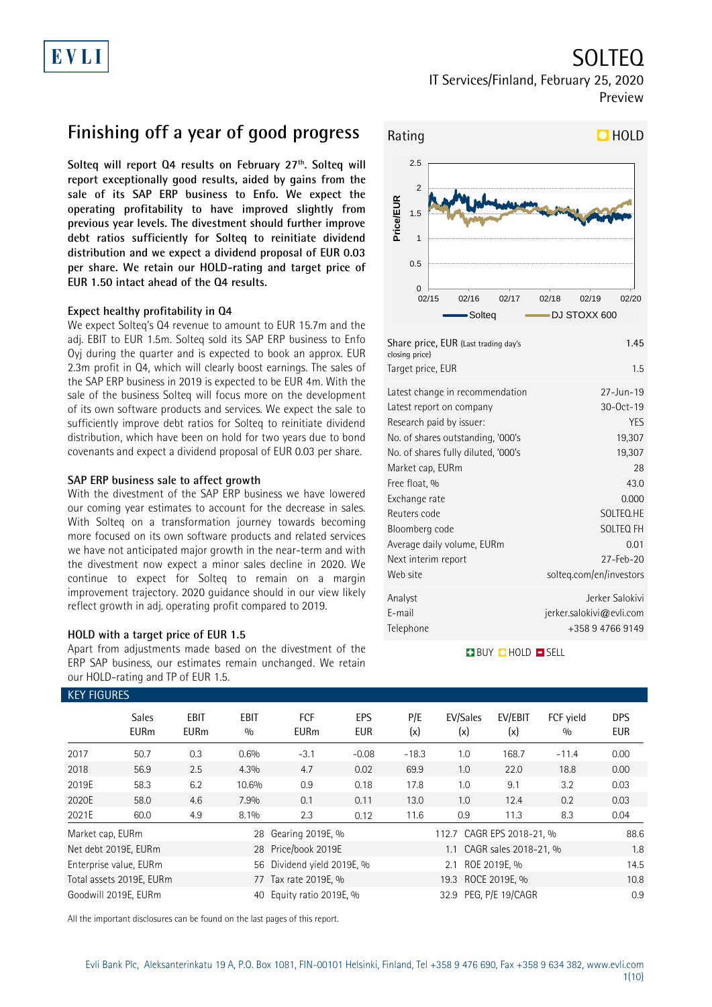# SOLTEQ

IT Services/Finland, February 25, 2020 Preview

# **Finishing off a year of good progress**

**Solteq will report Q4 results on February 27th. Solteq will report exceptionally good results, aided by gains from the sale of its SAP ERP business to Enfo. We expect the operating profitability to have improved slightly from previous year levels. The divestment should further improve debt ratios sufficiently for Solteq to reinitiate dividend distribution and we expect a dividend proposal of EUR 0.03 per share. We retain our HOLD-rating and target price of EUR 1.50 intact ahead of the Q4 results.**

### **Expect healthy profitability in Q4**

We expect Solteq's Q4 revenue to amount to EUR 15.7m and the adj. EBIT to EUR 1.5m. Solteq sold its SAP ERP business to Enfo Oyj during the quarter and is expected to book an approx. EUR 2.3m profit in Q4, which will clearly boost earnings. The sales of the SAP ERP business in 2019 is expected to be EUR 4m. With the sale of the business Solteq will focus more on the development of its own software products and services. We expect the sale to sufficiently improve debt ratios for Solteq to reinitiate dividend distribution, which have been on hold for two years due to bond covenants and expect a dividend proposal of EUR 0.03 per share.

### **SAP ERP business sale to affect growth**

With the divestment of the SAP ERP business we have lowered our coming year estimates to account for the decrease in sales. With Solteq on a transformation journey towards becoming more focused on its own software products and related services we have not anticipated major growth in the near-term and with the divestment now expect a minor sales decline in 2020. We continue to expect for Solteq to remain on a margin improvement trajectory. 2020 guidance should in our view likely reflect growth in adj. operating profit compared to 2019.

### **HOLD with a target price of EUR 1.5**

Apart from adjustments made based on the divestment of the ERP SAP business, our estimates remain unchanged. We retain our HOLD-rating and TP of EUR 1.5.



| $= 0.1$ , $(0.001, 0.001, 0.001, 0.001, 0.001, 0.001, 0.001, 0.001, 0.001, 0.001, 0.001, 0.001, 0.001, 0.001, 0.001, 0.001, 0.001, 0.001, 0.001, 0.001, 0.001, 0.001, 0.001, 0.001, 0.001, 0.001, 0.001, 0.001, 0.001, 0.001,$<br>closing price) |                             |
|--------------------------------------------------------------------------------------------------------------------------------------------------------------------------------------------------------------------------------------------------|-----------------------------|
| Target price, EUR                                                                                                                                                                                                                                | 1.5                         |
| Latest change in recommendation                                                                                                                                                                                                                  | $27 - Jun - 19$             |
| Latest report on company                                                                                                                                                                                                                         | 30-Oct-19                   |
| Research paid by issuer:                                                                                                                                                                                                                         | <b>YES</b>                  |
| No. of shares outstanding, '000's                                                                                                                                                                                                                | 19,307                      |
| No. of shares fully diluted, '000's                                                                                                                                                                                                              | 19,307                      |
| Market cap, EURm                                                                                                                                                                                                                                 | 28                          |
| Free float, %                                                                                                                                                                                                                                    | 43.0                        |
| Exchange rate                                                                                                                                                                                                                                    | 0.000                       |
| Reuters code                                                                                                                                                                                                                                     | SOLTEQ.HE                   |
| Bloomberg code                                                                                                                                                                                                                                   | SOLTEQ FH                   |
| Average daily volume, EURm                                                                                                                                                                                                                       | 0.01                        |
| Next interim report                                                                                                                                                                                                                              | $27 - \text{Fe}b - 20$      |
| Web site                                                                                                                                                                                                                                         | solteq.com/en/investors     |
| Analyst                                                                                                                                                                                                                                          | Jerker Salokivi             |
| E-mail                                                                                                                                                                                                                                           | $j$ erker.salokivi@evli.com |
| Telephone                                                                                                                                                                                                                                        | +358 9 4766 9149            |
|                                                                                                                                                                                                                                                  |                             |

### **BUY QHOLD SELL**

| <b>KEY FIGURES</b>   |                             |                     |                    |                            |                          |                     |                           |                |                  |                          |
|----------------------|-----------------------------|---------------------|--------------------|----------------------------|--------------------------|---------------------|---------------------------|----------------|------------------|--------------------------|
|                      | <b>Sales</b><br><b>EURm</b> | EBIT<br><b>EURm</b> | <b>EBIT</b><br>0/0 | <b>FCF</b><br><b>EURm</b>  | <b>EPS</b><br><b>EUR</b> | P/E<br>(x)          | EV/Sales<br>(x)           | EV/EBIT<br>(x) | FCF vield<br>0/0 | <b>DPS</b><br><b>EUR</b> |
| 2017                 | 50.7                        | 0.3                 | 0.6%               | $-3.1$                     | $-0.08$                  | $-18.3$             | 1.0                       | 168.7          | $-11.4$          | 0.00                     |
| 2018                 | 56.9                        | 2.5                 | 4.3%               | 4.7                        | 0.02                     | 69.9                | 1.0                       | 22.0           | 18.8             | 0.00                     |
| 2019E                | 58.3                        | 6.2                 | 10.6%              | 0.9                        | 0.18                     | 17.8                | 1.0                       | 9.1            | 3.2              | 0.03                     |
| 2020E                | 58.0                        | 4.6                 | 7.9%               | 0.1                        | 0.11                     | 13.0                | 1.0                       | 12.4           | 0.2              | 0.03                     |
| 2021E                | 60.0                        | 4.9                 | 8.1%               | 2.3                        | 0.12                     | 11.6                | 0.9                       | 11.3           | 8.3              | 0.04                     |
| Market cap, EURm     |                             |                     |                    | 28 Gearing 2019E, %        |                          |                     | 112.7 CAGR EPS 2018-21, % |                |                  | 88.6                     |
| Net debt 2019E, EURm |                             |                     |                    | 28 Price/book 2019E        |                          |                     | CAGR sales 2018-21, %     |                |                  |                          |
|                      | Enterprise value, EURm      |                     |                    | 56 Dividend yield 2019E, % |                          | ROE 2019E. %<br>2.1 |                           |                |                  | 14.5                     |
|                      | Total assets 2019E, EURm    |                     | 77                 | Tax rate 2019E, %          |                          | 19.3 ROCE 2019E, %  |                           |                |                  | 10.8                     |
|                      | Goodwill 2019E, EURm        |                     | 40                 | Equity ratio 2019E, %      |                          |                     | 32.9 PEG, P/E 19/CAGR     |                |                  | 0.9                      |

All the important disclosures can be found on the last pages of this report.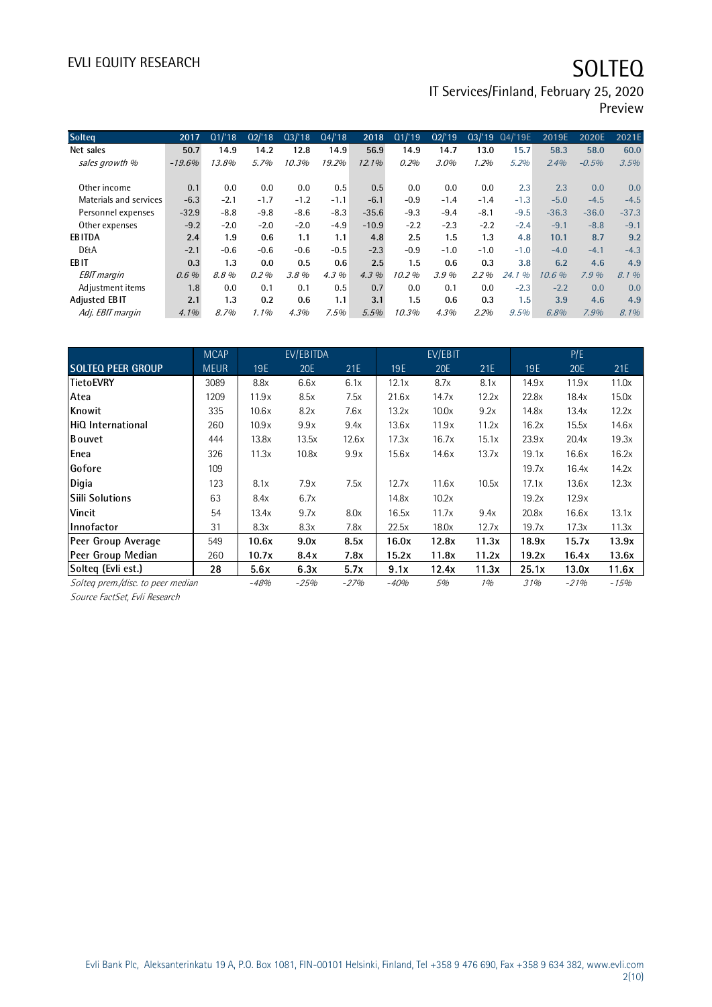# EVLI EQUITY RESEARCH SOLTEQ

IT Services/Finland, February 25, 2020

Preview

| <b>Solteg</b>          | 2017     | Q1/18  | Q2/18   | Q3/18  | Q4/18  | 2018     | Q1/19  | Q2/19  | Q3/19   | Q4/'19E                             | 2019E   | 2020E   | 2021E   |
|------------------------|----------|--------|---------|--------|--------|----------|--------|--------|---------|-------------------------------------|---------|---------|---------|
| Net sales              | 50.7     | 14.9   | 14.2    | 12.8   | 14.9   | 56.9     | 14.9   | 14.7   | 13.0    | 15.7                                | 58.3    | 58.0    | 60.0    |
| sales growth %         | $-19.6%$ | 13.8%  | 5.7%    | 10.3%  | 19.2%  | $12.1\%$ | 0.2%   | 3.0%   | 1.2%    | 5.2%                                | 2.4%    | $-0.5%$ | 3.5%    |
|                        |          |        |         |        |        |          |        |        |         |                                     |         |         |         |
| Other income           | 0.1      | 0.0    | 0.0     | 0.0    | 0.5    | 0.5      | 0.0    | 0.0    | 0.0     | 2.3                                 | 2.3     | 0.0     | 0.0     |
| Materials and services | $-6.3$   | $-2.1$ | $-1.7$  | $-1.2$ | $-1.1$ | $-6.1$   | $-0.9$ | $-1.4$ | $-1.4$  | $-1.3$                              | $-5.0$  | $-4.5$  | $-4.5$  |
| Personnel expenses     | $-32.9$  | $-8.8$ | $-9.8$  | $-8.6$ | $-8.3$ | $-35.6$  | $-9.3$ | $-9.4$ | $-8.1$  | $-9.5$                              | $-36.3$ | $-36.0$ | $-37.3$ |
| Other expenses         | $-9.2$   | $-2.0$ | $-2.0$  | $-2.0$ | $-4.9$ | $-10.9$  | $-2.2$ | $-2.3$ | $-2.2$  | $-2.4$                              | $-9.1$  | $-8.8$  | $-9.1$  |
| <b>EBITDA</b>          | 2.4      | 1.9    | 0.6     | 1.1    | 1.1    | 4.8      | 2.5    | 1.5    | 1.3     | 4.8                                 | 10.1    | 8.7     | 9.2     |
| <b>D&amp;A</b>         | $-2.1$   | $-0.6$ | $-0.6$  | $-0.6$ | $-0.5$ | $-2.3$   | $-0.9$ | $-1.0$ | $-1.0$  | $-1.0$                              | $-4.0$  | $-4.1$  | $-4.3$  |
| <b>EBIT</b>            | 0.3      | 1.3    | 0.0     | 0.5    | 0.6    | 2.5      | 1.5    | 0.6    | 0.3     | 3.8                                 | 6.2     | 4.6     | 4.9     |
| <b>EBIT</b> margin     | 0.6%     | 8.8%   | 0.2%    | 3.8%   | 4.3%   | $4.3\%$  | 10.2%  | 3.9%   | $2.2\%$ | $\frac{\partial}{\partial}$<br>24.1 | 10.6%   | 7.9%    | 8.1%    |
| Adjustment items       | 1.8      | 0.0    | 0.1     | 0.1    | 0.5    | 0.7      | 0.0    | 0.1    | 0.0     | $-2.3$                              | $-2.2$  | 0.0     | 0.0     |
| <b>Adjusted EBIT</b>   | 2.1      | 1.3    | 0.2     | 0.6    | 1.1    | 3.1      | 1.5    | 0.6    | 0.3     | 1.5                                 | 3.9     | 4.6     | 4.9     |
| Adj. EBIT margin       | 4.1%     | 8.7%   | $1.1\%$ | 4.3%   | 7.5%   | 5.5%     | 10.3%  | 4.3%   | 2.2%    | 9.5%                                | 6.8%    | 7.9%    | 8.1%    |
|                        |          |        |         |        |        |          |        |        |         |                                     |         |         |         |

|                                   | <b>MCAP</b> |        | EV/EBITDA |       |        | EV/EBIT |       |       | P/E    |        |
|-----------------------------------|-------------|--------|-----------|-------|--------|---------|-------|-------|--------|--------|
| <b>SOLTEQ PEER GROUP</b>          | <b>MEUR</b> | 19E    | 20E       | 21E   | 19E    | 20E     | 21E   | 19E   | 20E    | 21E    |
| <b>TietoEVRY</b>                  | 3089        | 8.8x   | 6.6x      | 6.1x  | 12.1x  | 8.7x    | 8.1x  | 14.9x | 11.9x  | 11.0x  |
| Atea                              | 1209        | 11.9x  | 8.5x      | 7.5x  | 21.6x  | 14.7x   | 12.2x | 22.8x | 18.4x  | 15.0x  |
| Knowit                            | 335         | 10.6x  | 8.2x      | 7.6x  | 13.2x  | 10.0x   | 9.2x  | 14.8x | 13.4x  | 12.2x  |
| <b>IHiQ International</b>         | 260         | 10.9x  | 9.9x      | 9.4x  | 13.6x  | 11.9x   | 11.2x | 16.2x | 15.5x  | 14.6x  |
| <b>B</b> ouvet                    | 444         | 13.8x  | 13.5x     | 12.6x | 17.3x  | 16.7x   | 15.1x | 23.9x | 20.4x  | 19.3x  |
| Enea                              | 326         | 11.3x  | 10.8x     | 9.9x  | 15.6x  | 14.6x   | 13.7x | 19.1x | 16.6x  | 16.2x  |
| <b>Gofore</b>                     | 109         |        |           |       |        |         |       | 19.7x | 16.4x  | 14.2x  |
| Digia                             | 123         | 8.1x   | 7.9x      | 7.5x  | 12.7x  | 11.6x   | 10.5x | 17.1x | 13.6x  | 12.3x  |
| Siili Solutions                   | 63          | 8.4x   | 6.7x      |       | 14.8x  | 10.2x   |       | 19.2x | 12.9x  |        |
| <b>Vincit</b>                     | 54          | 13.4x  | 9.7x      | 8.0x  | 16.5x  | 11.7x   | 9.4x  | 20.8x | 16.6x  | 13.1x  |
| <b>Innofactor</b>                 | 31          | 8.3x   | 8.3x      | 7.8x  | 22.5x  | 18.0x   | 12.7x | 19.7x | 17.3x  | 11.3x  |
| Peer Group Average                | 549         | 10.6x  | 9.0x      | 8.5x  | 16.0x  | 12.8x   | 11.3x | 18.9x | 15.7x  | 13.9x  |
| Peer Group Median                 | 260         | 10.7x  | 8.4x      | 7.8x  | 15.2x  | 11.8x   | 11.2x | 19.2x | 16.4x  | 13.6x  |
| Solteg (Evli est.)                | 28          | 5.6x   | 6.3x      | 5.7x  | 9.1x   | 12.4x   | 11.3x | 25.1x | 13.0x  | 11.6x  |
| Solteg prem./disc. to peer median |             | $-48%$ | $-25%$    | -27%  | $-40%$ | 5%      | 1%    | 31%   | $-21%$ | $-15%$ |

Source FactSet, Evli Research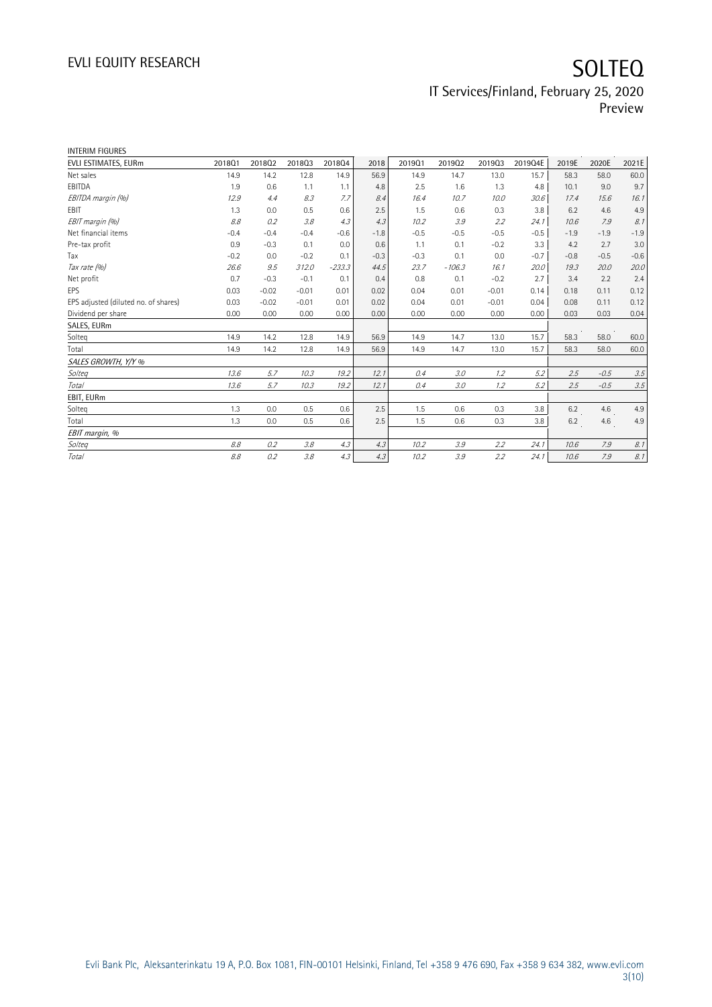| <b>INTERIM FIGURES</b>               |        |         |         |          |        |        |          |         |         |        |        |        |
|--------------------------------------|--------|---------|---------|----------|--------|--------|----------|---------|---------|--------|--------|--------|
| EVLI ESTIMATES, EURm                 | 201801 | 201802  | 201803  | 201804   | 2018   | 201901 | 201902   | 201903  | 2019Q4E | 2019E  | 2020E  | 2021E  |
| Net sales                            | 14.9   | 14.2    | 12.8    | 14.9     | 56.9   | 14.9   | 14.7     | 13.0    | 15.7    | 58.3   | 58.0   | 60.0   |
| EBITDA                               | 1.9    | 0.6     | 1.1     | 1.1      | 4.8    | 2.5    | 1.6      | 1.3     | 4.8     | 10.1   | 9.0    | 9.7    |
| EBITDA margin (%)                    | 12.9   | 4.4     | 8.3     | 7.7      | 8.4    | 16.4   | 10.7     | 10.0    | 30.6    | 17.4   | 15.6   | 16.1   |
| EBIT                                 | 1.3    | 0.0     | 0.5     | 0.6      | 2.5    | 1.5    | 0.6      | 0.3     | 3.8     | 6.2    | 4.6    | 4.9    |
| EBIT margin (%)                      | 8.8    | 0.2     | 3.8     | 4.3      | 4.3    | 10.2   | 3.9      | 2.2     | 24.1    | 10.6   | 7.9    | 8.1    |
| Net financial items                  | $-0.4$ | $-0.4$  | $-0.4$  | $-0.6$   | $-1.8$ | $-0.5$ | $-0.5$   | $-0.5$  | $-0.5$  | $-1.9$ | $-1.9$ | $-1.9$ |
| Pre-tax profit                       | 0.9    | $-0.3$  | 0.1     | 0.0      | 0.6    | 1.1    | 0.1      | $-0.2$  | 3.3     | 4.2    | 2.7    | 3.0    |
| Tax                                  | $-0.2$ | 0.0     | $-0.2$  | 0.1      | $-0.3$ | $-0.3$ | 0.1      | 0.0     | $-0.7$  | $-0.8$ | $-0.5$ | $-0.6$ |
| Tax rate (%)                         | 26.6   | 9.5     | 312.0   | $-233.3$ | 44.5   | 23.7   | $-106.3$ | 16.1    | 20.0    | 19.3   | 20.0   | 20.0   |
| Net profit                           | 0.7    | $-0.3$  | $-0.1$  | 0.1      | 0.4    | 0.8    | 0.1      | $-0.2$  | 2.7     | 3.4    | 2.2    | 2.4    |
| EPS                                  | 0.03   | $-0.02$ | $-0.01$ | 0.01     | 0.02   | 0.04   | 0.01     | $-0.01$ | 0.14    | 0.18   | 0.11   | 0.12   |
| EPS adjusted (diluted no. of shares) | 0.03   | $-0.02$ | $-0.01$ | 0.01     | 0.02   | 0.04   | 0.01     | $-0.01$ | 0.04    | 0.08   | 0.11   | 0.12   |
| Dividend per share                   | 0.00   | 0.00    | 0.00    | 0.00     | 0.00   | 0.00   | 0.00     | 0.00    | 0.00    | 0.03   | 0.03   | 0.04   |
| SALES, EURm                          |        |         |         |          |        |        |          |         |         |        |        |        |
| Solteg                               | 14.9   | 14.2    | 12.8    | 14.9     | 56.9   | 14.9   | 14.7     | 13.0    | 15.7    | 58.3   | 58.0   | 60.0   |
| Total                                | 14.9   | 14.2    | 12.8    | 14.9     | 56.9   | 14.9   | 14.7     | 13.0    | 15.7    | 58.3   | 58.0   | 60.0   |
| SALES GROWTH, Y/Y %                  |        |         |         |          |        |        |          |         |         |        |        |        |
| Solteg                               | 13.6   | 5.7     | 10.3    | 19.2     | 12.1   | 0.4    | 3.0      | 1.2     | 5.2     | 2.5    | $-0.5$ | 3.5    |
| <b>Total</b>                         | 13.6   | 5.7     | 10.3    | 19.2     | 12.1   | 0.4    | 3.0      | 1.2     | 5.2     | 2.5    | $-0.5$ | 3.5    |
| EBIT, EURm                           |        |         |         |          |        |        |          |         |         |        |        |        |
| Solteq                               | 1.3    | 0.0     | 0.5     | 0.6      | 2.5    | 1.5    | 0.6      | 0.3     | 3.8     | 6.2    | 4.6    | 4.9    |
| Total                                | 1.3    | 0.0     | 0.5     | 0.6      | 2.5    | 1.5    | 0.6      | 0.3     | 3.8     | 6.2    | 4.6    | 4.9    |
| EBIT margin, %                       |        |         |         |          |        |        |          |         |         |        |        |        |
| Solteg                               | 8.8    | 0.2     | 3.8     | 4.3      | 4.3    | 10.2   | 3.9      | 2.2     | 24.1    | 10.6   | 7.9    | 8.1    |
| Total                                | 8.8    | 0.2     | 3.8     | 4.3      | 4.3    | 10.2   | 3.9      | 2.2     | 24.1    | 10.6   | 7.9    | 8.1    |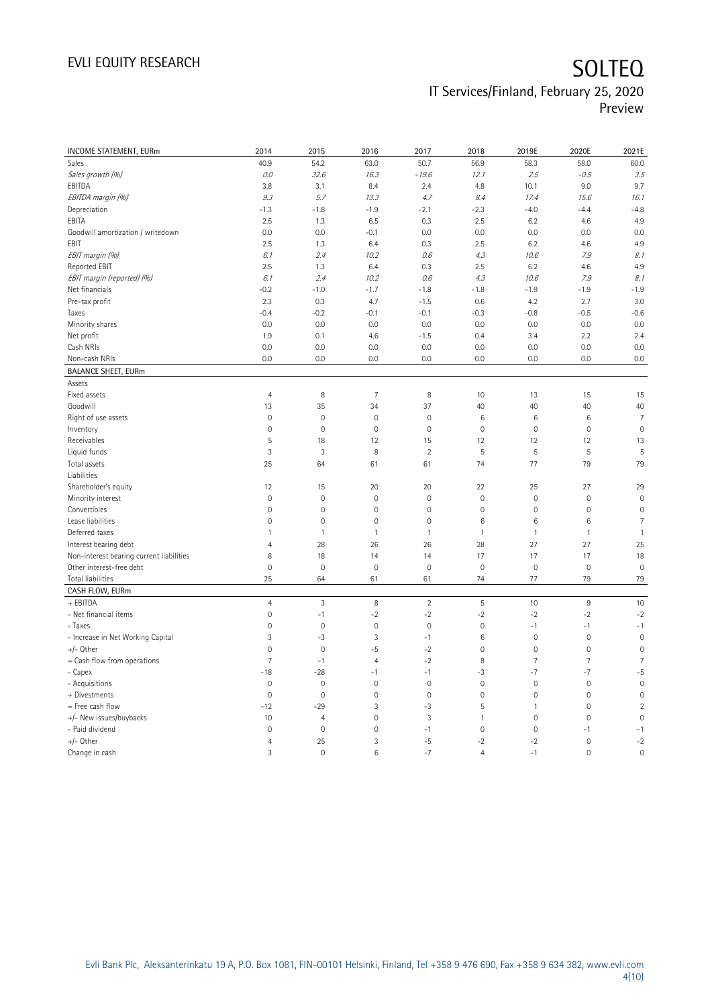# EVLI EQUITY RESEARCH SOLTEQ

### IT Services/Finland, February 25, 2020 Preview

| INCOME STATEMENT, EURm                   | 2014           | 2015           | 2016                | 2017           | 2018           | 2019E               | 2020E          | 2021E               |
|------------------------------------------|----------------|----------------|---------------------|----------------|----------------|---------------------|----------------|---------------------|
| Sales                                    | 40.9           | 54.2           | 63.0                | 50.7           | 56.9           | 58.3                | 58.0           | 60.0                |
| Sales growth (%)                         | $0.0\,$        | 32.6           | 16.3                | $-19.6$        | 12.1           | 2.5                 | $-0.5$         | 3.5                 |
| EBITDA                                   | 3.8            | 3.1            | 8.4                 | 2.4            | 4.8            | 10.1                | 9.0            | 9.7                 |
| EBITDA margin (%)                        | 9.3            | 5.7            | 13.3                | 4.7            | 8.4            | 17.4                | 15.6           | 16.1                |
| Depreciation                             | $-1.3$         | $-1.8$         | $-1.9$              | $-2.1$         | $-2.3$         | $-4.0$              | $-4.4$         | $-4.8$              |
| EBITA                                    | 2.5            | 1.3            | 6.5                 | 0.3            | 2.5            | 6.2                 | 4.6            | 4.9                 |
| Goodwill amortization / writedown        | 0.0            | 0.0            | $-0.1$              | 0.0            | 0.0            | 0.0                 | 0.0            | 0.0                 |
| EBIT                                     | 2.5            | 1.3            | 6.4                 | 0.3            | 2.5            | 6.2                 | 4.6            | 4.9                 |
| EBIT margin (%)                          | 6.1            | 2.4            | 10.2                | 0.6            | 4.3            | 10.6                | 7.9            | 8.1                 |
| Reported EBIT                            | 2.5            | 1.3            | 6.4                 | 0.3            | 2.5            | 6.2                 | 4.6            | 4.9                 |
| EBIT margin (reported) (%)               | 6.1            | 2.4            | 10.2                | 0.6            | 4.3            | 10.6                | 7.9            | 8.1                 |
| Net financials                           | $-0.2$         | $-1.0$         | $-1.7$              | $-1.8$         | $-1.8$         | $-1.9$              | $-1.9$         | $-1.9$              |
| Pre-tax profit                           | 2.3            | 0.3            | 4.7                 | $-1.5$         | 0.6            | 4.2                 | 2.7            | 3.0                 |
| Taxes                                    | $-0.4$         | $-0.2$         | $-0.1$              | $-0.1$         | $-0.3$         | $-0.8$              | $-0.5$         | $-0.6$              |
| Minority shares                          | 0.0            | 0.0            | 0.0                 | 0.0            | 0.0            | 0.0                 | 0.0            | 0.0                 |
| Net profit                               | 1.9            | 0.1            | 4.6                 | $-1.5$         | 0.4            | 3.4                 | 2.2            | 2.4                 |
| Cash NRIs                                | 0.0            | 0.0            | 0.0                 | 0.0            | 0.0            | 0.0                 | 0.0            | 0.0                 |
| Non-cash NRIs                            | 0.0            | 0.0            | 0.0                 | 0.0            | 0.0            | 0.0                 | 0.0            | 0.0                 |
| <b>BALANCE SHEET, EURm</b>               |                |                |                     |                |                |                     |                |                     |
| Assets                                   |                |                |                     |                |                |                     |                |                     |
| Fixed assets                             | $\overline{4}$ | 8              | $\overline{7}$      | 8              | 10             | 13                  | 15             | 15                  |
| Goodwill                                 | 13             | 35             | 34                  | 37             | 40             | 40                  | 40             | 40                  |
| Right of use assets                      | $\mathbf 0$    | $\mathbf 0$    | $\mathsf{O}\xspace$ | $\mathbf 0$    | 6              | $6\,$               | $\,6\,$        | $\overline{7}$      |
| Inventory                                | $\mathbf 0$    | $\mathbf 0$    | $\mathbf 0$         | $\mathbf 0$    | $\mathbf 0$    | $\mathsf{O}\xspace$ | $\mathbf 0$    | $\mathbf 0$         |
| Receivables                              | 5              | 18             | 12                  | 15             | 12             | 12                  | 12             | 13                  |
| Liquid funds                             | 3              | 3              | 8                   | $\overline{2}$ | 5              | 5                   | $\mathsf S$    | $\overline{5}$      |
| Total assets                             | 25             | 64             | 61                  | 61             | 74             | 77                  | 79             | 79                  |
| Liabilities                              |                |                |                     |                |                |                     |                |                     |
| Shareholder's equity                     | 12             | 15             | 20                  | 20             | 22             | 25                  | 27             | 29                  |
| Minority interest                        | $\mathbf 0$    | $\mathbf 0$    | $\mathbf 0$         | $\mathbf 0$    | $\mathbf 0$    | $\mathsf{O}\xspace$ | $\mathbf 0$    | $\mathbf 0$         |
| Convertibles                             | $\mathbf 0$    | $\mathbf 0$    | $\mathsf{O}\xspace$ | $\mathbf 0$    | $\mathbf 0$    | $\mathsf{O}\xspace$ | $\mathbf 0$    | $\mathbf 0$         |
| Lease liabilities                        | $\overline{0}$ | $\mathbf 0$    | $\mathbf 0$         | $\mathbf 0$    | 6              | 6                   | 6              | $\overline{7}$      |
| Deferred taxes                           | $\mathbf{1}$   | $\mathbf{1}$   | $\mathbf{1}$        | $\overline{1}$ | $\mathbf{1}$   | $\mathbf{1}$        | $\mathbf{1}$   | $\mathbf{1}$        |
| Interest bearing debt                    | 4              | 28             | 26                  | 26             | 28             | 27                  | 27             | 25                  |
| Non-interest bearing current liabilities | 8              | 18             | 14                  | 14             | 17             | 17                  | 17             | 18                  |
| Other interest-free debt                 | $\mathbf 0$    | $\mathbf 0$    | 0                   | $\mathbf 0$    | $\mathbf 0$    | $\mathsf{O}\xspace$ | $\mathbf 0$    | $\mathsf{O}\xspace$ |
| Total liabilities                        | 25             | 64             | 61                  | 61             | 74             | 77                  | 79             | 79                  |
| CASH FLOW, EURm                          |                |                |                     |                |                |                     |                |                     |
| + EBITDA                                 | $\overline{4}$ | 3              | 8                   | $\overline{2}$ | 5              | 10                  | $\,9$          | 10                  |
| - Net financial items                    | $\mathbb O$    | $-1$           | $-2$                | $-2$           | $-2$           | $-2$                | $-2$           | $-2$                |
| - Taxes                                  | $\mathbf 0$    | $\mathbf 0$    | $\mathsf{O}\xspace$ | $\mathbf 0$    | $\mathbf 0$    | $-1$                | $-1$           | $-1$                |
| - Increase in Net Working Capital        | 3              | $-3$           | 3                   | $-1$           | 6              | $\mathbb O$         | $\mathbf 0$    | $\mathbf 0$         |
| $+/-$ Other                              | $\mathbf 0$    | $\mathbf 0$    | $-5$                | $-2$           | $\mathbf 0$    | $\mathbb O$         | $\mathbf 0$    | $\mathsf{O}\xspace$ |
| = Cash flow from operations              | $\overline{7}$ | $-1$           | $\overline{4}$      | $-2$           | 8              | $7\overline{ }$     | $\overline{7}$ | $\overline{7}$      |
| - Capex                                  | $-18$          | $-28$          | $-1$                | $-1$           | $-3$           | $-7$                | $-7$           | $-5$                |
| - Acquisitions                           | $\mathbf 0$    | $\mathbf 0$    | 0                   | $\mathbf 0$    | $\mathbf 0$    | $\mathsf{O}\xspace$ | $\mathbf 0$    | $\mathbf 0$         |
| + Divestments                            | $\mathbf 0$    | $\mathbf 0$    | $\mathsf{O}\xspace$ | $\mathbf 0$    | $\mathbf 0$    | $\mathsf{O}\xspace$ | $\mathbf 0$    | $\mathbf 0$         |
| = Free cash flow                         | $-12$          | $-29$          | 3                   | $-3$           | 5              | $\mathbf{1}$        | $\mathbf 0$    | $\sqrt{2}$          |
| +/- New issues/buybacks                  | 10             | $\overline{4}$ | $\mathbf 0$         | $\overline{3}$ | 1              | $\mathbf 0$         | $\mathbf 0$    | $\mathbf 0$         |
| - Paid dividend                          | $\mathbf 0$    | $\mathbf 0$    | $\mathsf{O}\xspace$ | $-1$           | $\mathbf 0$    | $\mathsf{O}\xspace$ | $-1$           | $-1$                |
| $+/-$ Other                              | $\overline{4}$ | 25             | 3                   | $-5$           | $-2$           | $-2$                | $\mathbf 0$    | $-2$                |
| Change in cash                           | 3              | $\mathbf 0$    | 6                   | $-7$           | $\overline{4}$ | $-1$                | $\mathbf 0$    | $\mathbf{0}$        |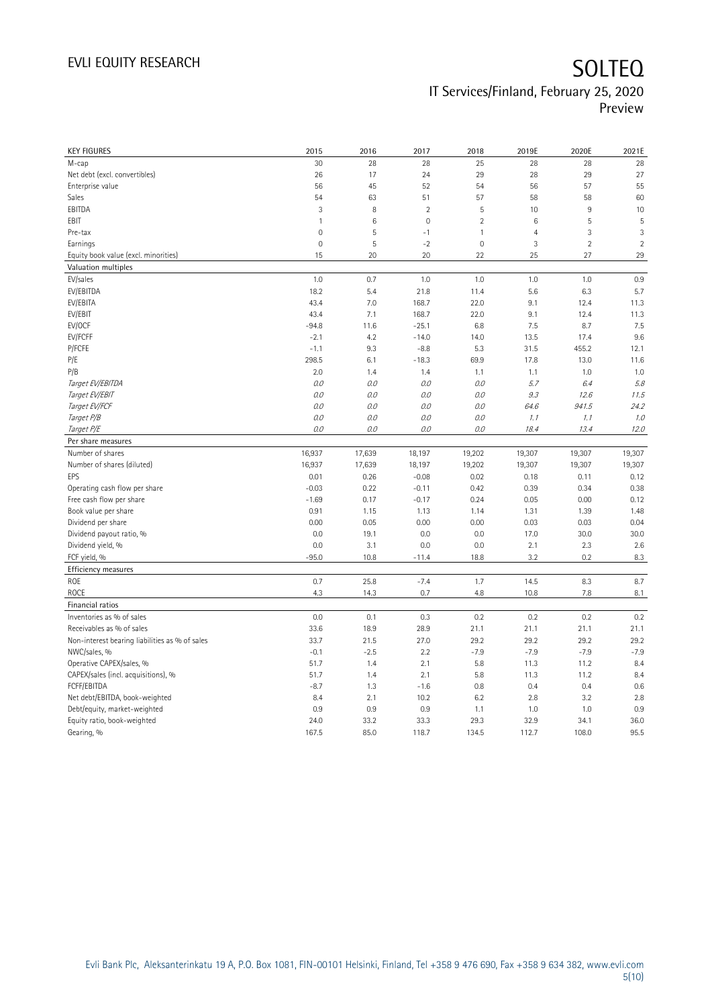| <b>KEY FIGURES</b>                             | 2015           | 2016   | 2017           | 2018           | 2019E          | 2020E      | 2021E          |
|------------------------------------------------|----------------|--------|----------------|----------------|----------------|------------|----------------|
| M-cap                                          | 30             | 28     | 28             | 25             | 28             | 28         | 28             |
| Net debt (excl. convertibles)                  | 26             | 17     | 24             | 29             | 28             | 29         | 27             |
| Enterprise value                               | 56             | 45     | 52             | 54             | 56             | 57         | 55             |
| Sales                                          | 54             | 63     | 51             | 57             | 58             | 58         | 60             |
| EBITDA                                         | 3              | 8      | $\overline{2}$ | 5              | 10             | 9          | 10             |
| EBIT                                           | $\overline{1}$ | $\,6$  | $\mathbf 0$    | $\overline{2}$ | $\,6$          | 5          | 5              |
| Pre-tax                                        | $\mathbf 0$    | 5      | $-1$           | 1              | $\overline{4}$ | 3          | 3              |
| Earnings                                       | $\mathbf 0$    | 5      | $-2$           | $\mathbf 0$    | 3              | $\sqrt{2}$ | $\overline{2}$ |
| Equity book value (excl. minorities)           | 15             | 20     | 20             | 22             | 25             | 27         | 29             |
| Valuation multiples                            |                |        |                |                |                |            |                |
| EV/sales                                       | 1.0            | 0.7    | 1.0            | 1.0            | 1.0            | 1.0        | 0.9            |
| EV/EBITDA                                      | 18.2           | 5.4    | 21.8           | 11.4           | 5.6            | 6.3        | 5.7            |
| EV/EBITA                                       | 43.4           | 7.0    | 168.7          | 22.0           | 9.1            | 12.4       | 11.3           |
| EV/EBIT                                        | 43.4           | 7.1    | 168.7          | 22.0           | 9.1            | 12.4       | 11.3           |
| EV/OCF                                         | $-94.8$        | 11.6   | $-25.1$        | 6.8            | 7.5            | 8.7        | 7.5            |
| EV/FCFF                                        | $-2.1$         | 4.2    | $-14.0$        | 14.0           | 13.5           | 17.4       | 9.6            |
| P/FCFE                                         | $-1.1$         | 9.3    | $-8.8$         | 5.3            | 31.5           | 455.2      | 12.1           |
| P/E                                            | 298.5          | 6.1    | $-18.3$        | 69.9           | 17.8           | 13.0       | 11.6           |
| P/B                                            | 2.0            | 1.4    | 1.4            | 1.1            | 1.1            | 1.0        | 1.0            |
| Target EV/EBITDA                               | 0.0            | 0.0    | 0.0            | 0.0            | 5.7            | 6.4        | 5.8            |
| Target EV/EBIT                                 | 0.0            | 0.0    | 0.0            | 0.0            | 9.3            | 12.6       | 11.5           |
| Target EV/FCF                                  | 0.0            | 0.0    | 0.0            | 0.0            | 64.6           | 941.5      | 24.2           |
| Target P/B                                     | $0.0\,$        | 0.0    | 0.0            | 0.0            | 1.1            | 1.1        | 1.0            |
| Target P/E                                     | 0.0            | 0.0    | 0.0            | 0.0            | 18.4           | 13.4       | 12.0           |
| Per share measures                             |                |        |                |                |                |            |                |
| Number of shares                               | 16,937         | 17,639 | 18,197         | 19,202         | 19,307         | 19,307     | 19,307         |
| Number of shares (diluted)                     | 16,937         | 17,639 | 18,197         | 19,202         | 19,307         | 19,307     | 19,307         |
| EPS                                            | 0.01           | 0.26   | $-0.08$        | 0.02           | 0.18           | 0.11       | 0.12           |
| Operating cash flow per share                  | $-0.03$        | 0.22   | $-0.11$        | 0.42           | 0.39           | 0.34       | 0.38           |
| Free cash flow per share                       | $-1.69$        | 0.17   | $-0.17$        | 0.24           | 0.05           | 0.00       | 0.12           |
| Book value per share                           | 0.91           | 1.15   | 1.13           | 1.14           | 1.31           | 1.39       | 1.48           |
| Dividend per share                             | 0.00           | 0.05   | 0.00           | 0.00           | 0.03           | 0.03       | 0.04           |
| Dividend payout ratio, %                       | 0.0            | 19.1   | 0.0            | 0.0            | 17.0           | 30.0       | 30.0           |
| Dividend yield, %                              | 0.0            | 3.1    | 0.0            | 0.0            | 2.1            | 2.3        | 2.6            |
| FCF yield, %                                   | $-95.0$        | 10.8   | $-11.4$        | 18.8           | 3.2            | 0.2        | 8.3            |
| Efficiency measures                            |                |        |                |                |                |            |                |
| ROE                                            | 0.7            | 25.8   | $-7.4$         | 1.7            | 14.5           | 8.3        | 8.7            |
| ROCE                                           | 4.3            | 14.3   | 0.7            | 4.8            | 10.8           | 7.8        | 8.1            |
|                                                |                |        |                |                |                |            |                |
| Financial ratios                               | 0.0            |        |                |                |                |            |                |
| Inventories as % of sales                      |                | 0.1    | 0.3            | 0.2            | 0.2            | 0.2        | 0.2            |
| Receivables as % of sales                      | 33.6           | 18.9   | 28.9           | 21.1           | 21.1           | 21.1       | 21.1           |
| Non-interest bearing liabilities as % of sales | 33.7           | 21.5   | 27.0           | 29.2           | 29.2           | 29.2       | 29.2           |
| NWC/sales, %                                   | $-0.1$         | $-2.5$ | 2.2            | $-7.9$         | $-7.9$         | $-7.9$     | $-7.9$         |
| Operative CAPEX/sales, %                       | 51.7           | 1.4    | 2.1            | 5.8            | 11.3           | 11.2       | 8.4            |
| CAPEX/sales (incl. acquisitions), %            | 51.7           | 1.4    | 2.1            | 5.8            | 11.3           | 11.2       | 8.4            |
| FCFF/EBITDA                                    | $-8.7$         | 1.3    | $-1.6$         | 0.8            | 0.4            | 0.4        | 0.6            |
| Net debt/EBITDA, book-weighted                 | 8.4            | 2.1    | 10.2           | 6.2            | 2.8            | 3.2        | 2.8            |
| Debt/equity, market-weighted                   | 0.9            | 0.9    | 0.9            | 1.1            | 1.0            | 1.0        | 0.9            |
| Equity ratio, book-weighted                    | 24.0           | 33.2   | 33.3           | 29.3           | 32.9           | 34.1       | 36.0           |
| Gearing, %                                     | 167.5          | 85.0   | 118.7          | 134.5          | 112.7          | 108.0      | 95.5           |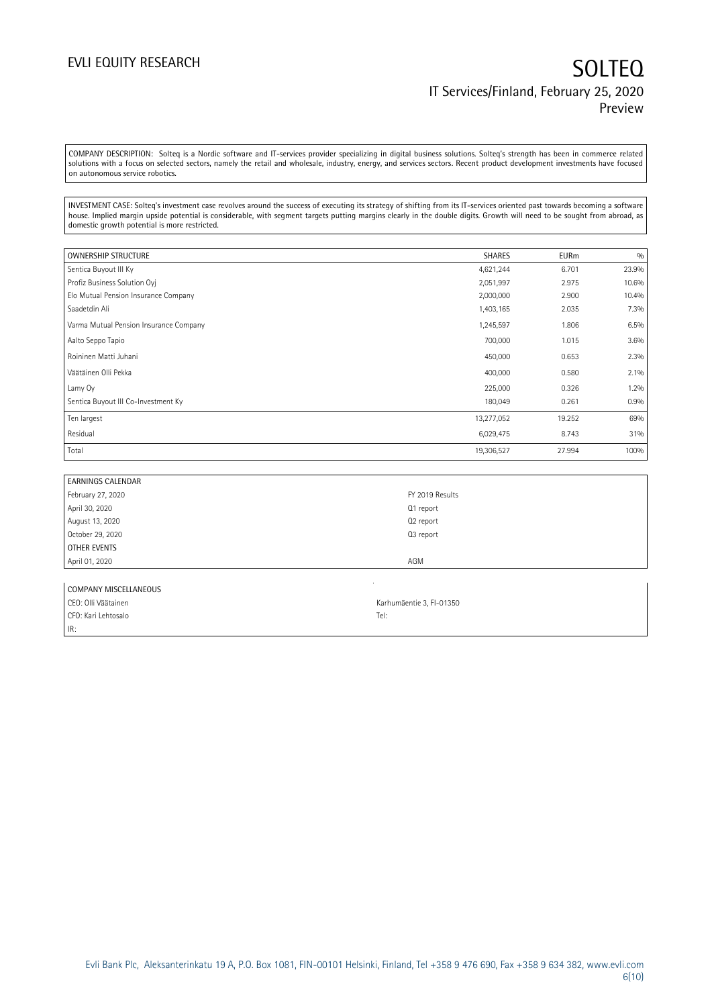COMPANY DESCRIPTION: Solteq is a Nordic software and IT-services provider specializing in digital business solutions. Solteq's strength has been in commerce related solutions with a focus on selected sectors, namely the retail and wholesale, industry, energy, and services sectors. Recent product development investments have focused on autonomous service robotics.

INVESTMENT CASE: Solteq's investment case revolves around the success of executing its strategy of shifting from its IT-services oriented past towards becoming a software house. Implied margin upside potential is considerable, with segment targets putting margins clearly in the double digits. Growth will need to be sought from abroad, as domestic growth potential is more restricted.

| <b>OWNERSHIP STRUCTURE</b>             | <b>SHARES</b> | <b>EURm</b> | 0/0   |
|----------------------------------------|---------------|-------------|-------|
| Sentica Buyout III Ky                  | 4,621,244     | 6.701       | 23.9% |
| Profiz Business Solution Ovi           | 2,051,997     | 2.975       | 10.6% |
| Elo Mutual Pension Insurance Company   | 2,000,000     | 2.900       | 10.4% |
| Saadetdin Ali                          | 1,403,165     | 2.035       | 7.3%  |
| Varma Mutual Pension Insurance Company | 1,245,597     | 1.806       | 6.5%  |
| Aalto Seppo Tapio                      | 700,000       | 1.015       | 3.6%  |
| Roininen Matti Juhani                  | 450,000       | 0.653       | 2.3%  |
| Väätäinen Olli Pekka                   | 400,000       | 0.580       | 2.1%  |
| Lamy Oy                                | 225,000       | 0.326       | 1.2%  |
| Sentica Buyout III Co-Investment Ky    | 180,049       | 0.261       | 0.9%  |
| Ten largest                            | 13,277,052    | 19.252      | 69%   |
| Residual                               | 6,029,475     | 8.743       | 31%   |
| Total                                  | 19,306,527    | 27.994      | 100%  |

| <b>EARNINGS CALENDAR</b> |                 |
|--------------------------|-----------------|
| February 27, 2020        | FY 2019 Results |
| April 30, 2020           | Q1 report       |
| August 13, 2020          | Q2 report       |
| October 29, 2020         | Q3 report       |
| OTHER EVENTS             |                 |
| April 01, 2020           | AGM             |
|                          |                 |

| COMPANY MISCELLANEOUS |                          |  |  |  |  |  |
|-----------------------|--------------------------|--|--|--|--|--|
| CEO: Olli Väätainen   | Karhumäentie 3, FI-01350 |  |  |  |  |  |
| CFO: Kari Lehtosalo   | Tel:                     |  |  |  |  |  |
| IR:                   |                          |  |  |  |  |  |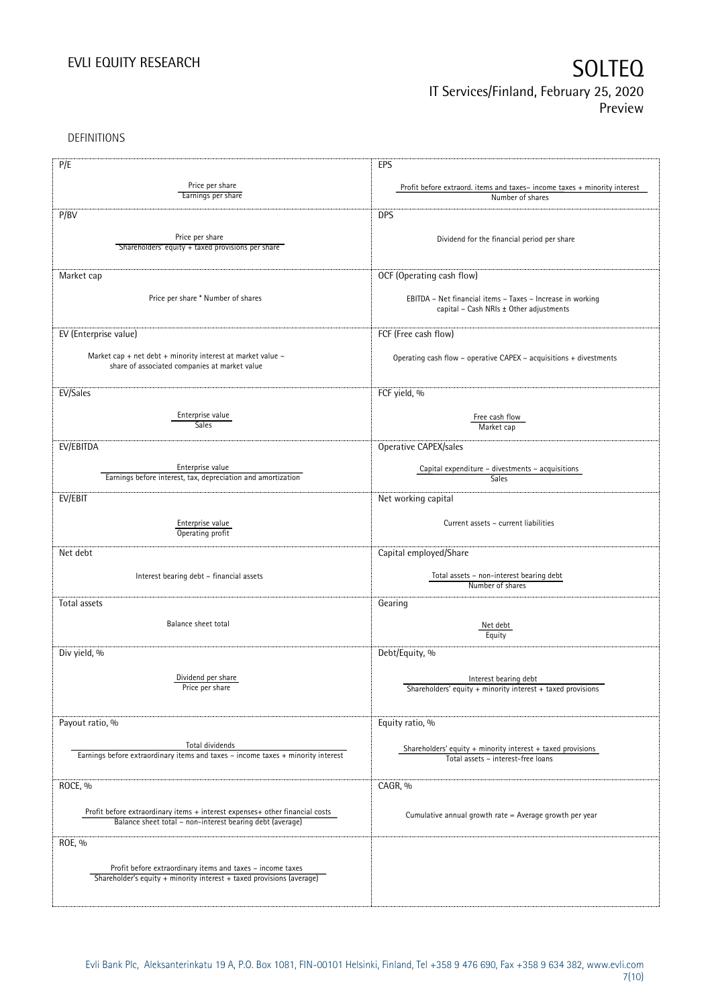DEFINITIONS

| P/E                                                                                                                                 | EPS                                                                      |
|-------------------------------------------------------------------------------------------------------------------------------------|--------------------------------------------------------------------------|
|                                                                                                                                     |                                                                          |
| Price per share<br>Earnings per share                                                                                               | Profit before extraord. items and taxes-income taxes + minority interest |
|                                                                                                                                     | Number of shares                                                         |
| P/BV                                                                                                                                | <b>DPS</b>                                                               |
|                                                                                                                                     |                                                                          |
| Price per share                                                                                                                     | Dividend for the financial period per share                              |
| Shareholders' equity + taxed provisions per share                                                                                   |                                                                          |
|                                                                                                                                     |                                                                          |
| Market cap                                                                                                                          | OCF (Operating cash flow)                                                |
|                                                                                                                                     |                                                                          |
| Price per share * Number of shares                                                                                                  | EBITDA - Net financial items - Taxes - Increase in working               |
|                                                                                                                                     | capital - Cash NRIs ± Other adjustments                                  |
|                                                                                                                                     |                                                                          |
| EV (Enterprise value)                                                                                                               | FCF (Free cash flow)                                                     |
|                                                                                                                                     |                                                                          |
| Market cap + net debt + minority interest at market value -                                                                         | Operating cash flow - operative CAPEX - acquisitions + divestments       |
| share of associated companies at market value                                                                                       |                                                                          |
|                                                                                                                                     |                                                                          |
| EV/Sales                                                                                                                            | FCF yield, %                                                             |
|                                                                                                                                     |                                                                          |
| Enterprise value<br><b>Sales</b>                                                                                                    | Free cash flow                                                           |
|                                                                                                                                     | Market cap                                                               |
| EV/EBITDA                                                                                                                           | Operative CAPEX/sales                                                    |
|                                                                                                                                     |                                                                          |
| Enterprise value                                                                                                                    | Capital expenditure - divestments - acquisitions                         |
| Earnings before interest, tax, depreciation and amortization                                                                        | Sales                                                                    |
| EV/EBIT                                                                                                                             | Net working capital                                                      |
|                                                                                                                                     |                                                                          |
|                                                                                                                                     |                                                                          |
| Enterprise value<br>Operating profit                                                                                                | Current assets - current liabilities                                     |
|                                                                                                                                     |                                                                          |
| Net debt                                                                                                                            | Capital employed/Share                                                   |
|                                                                                                                                     |                                                                          |
| Interest bearing debt - financial assets                                                                                            | Total assets - non-interest bearing debt                                 |
|                                                                                                                                     | Number of shares                                                         |
| Total assets                                                                                                                        | Gearing                                                                  |
|                                                                                                                                     |                                                                          |
| Balance sheet total                                                                                                                 | Net debt                                                                 |
|                                                                                                                                     | Equity                                                                   |
| Div yield, %                                                                                                                        | Debt/Equity, %                                                           |
|                                                                                                                                     |                                                                          |
| Dividend per share                                                                                                                  | Interest bearing debt                                                    |
| Price per share                                                                                                                     | Shareholders' equity $+$ minority interest $+$ taxed provisions          |
|                                                                                                                                     |                                                                          |
|                                                                                                                                     |                                                                          |
| Payout ratio, %                                                                                                                     | Equity ratio, %                                                          |
|                                                                                                                                     |                                                                          |
| Total dividends<br>Earnings before extraordinary items and taxes - income taxes + minority interest                                 | Shareholders' equity $+$ minority interest $+$ taxed provisions          |
|                                                                                                                                     | Total assets - interest-free loans                                       |
|                                                                                                                                     |                                                                          |
| ROCE, %                                                                                                                             | CAGR, %                                                                  |
|                                                                                                                                     |                                                                          |
| Profit before extraordinary items + interest expenses+ other financial costs                                                        | Cumulative annual growth rate = Average growth per year                  |
| Balance sheet total - non-interest bearing debt (average)                                                                           |                                                                          |
|                                                                                                                                     |                                                                          |
| ROE, %                                                                                                                              |                                                                          |
|                                                                                                                                     |                                                                          |
| Profit before extraordinary items and taxes - income taxes<br>Shareholder's equity + minority interest + taxed provisions (average) |                                                                          |
|                                                                                                                                     |                                                                          |
|                                                                                                                                     |                                                                          |
|                                                                                                                                     |                                                                          |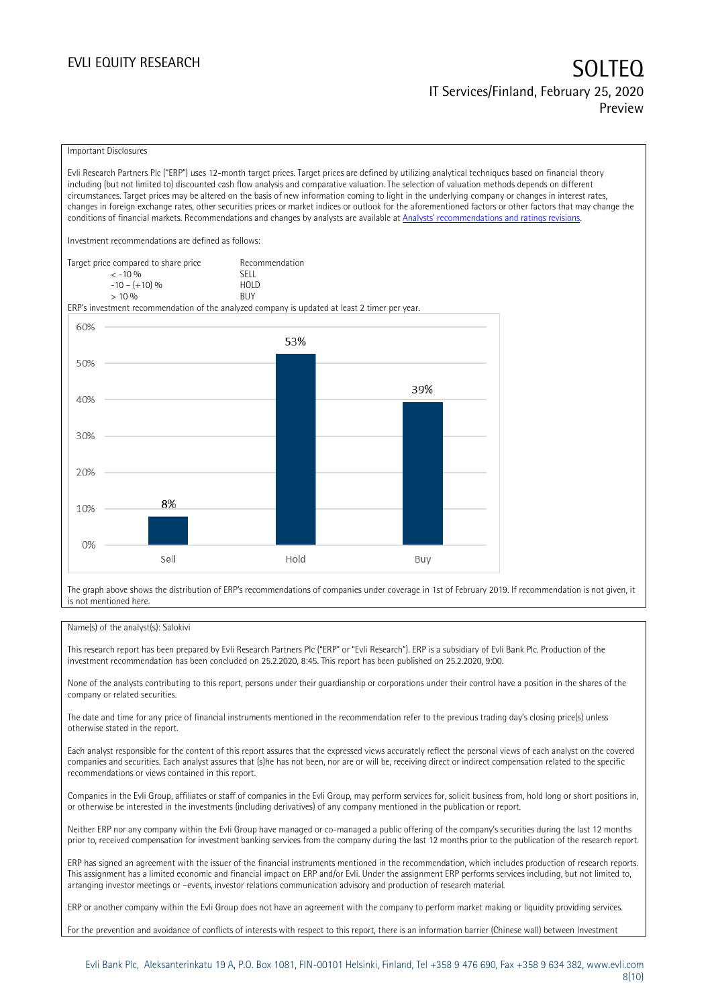### Important Disclosures

Evli Research Partners Plc ("ERP") uses 12-month target prices. Target prices are defined by utilizing analytical techniques based on financial theory including (but not limited to) discounted cash flow analysis and comparative valuation. The selection of valuation methods depends on different circumstances. Target prices may be altered on the basis of new information coming to light in the underlying company or changes in interest rates, changes in foreign exchange rates, other securities prices or market indices or outlook for the aforementioned factors or other factors that may change the conditions of financial markets. Recommendations and changes by analysts are available at [Analysts' recommendations and ratings revisions](https://research.evli.com/JasperAllModels.action?authParam=key;461&authParam=x;G3rNagWrtf7K&authType=3).

Investment recommendations are defined as follows:

| Target price compared to share price | Recommendation                |
|--------------------------------------|-------------------------------|
| $<-10.06$                            | SELL.                         |
| $-10 - (+10)$ %                      | H <sub>O</sub> I <sub>D</sub> |
| > 10%                                | <b>BUY</b>                    |

ERP's investment recommendation of the analyzed company is updated at least 2 timer per year.



The graph above shows the distribution of ERP's recommendations of companies under coverage in 1st of February 2019. If recommendation is not given, it is not mentioned here.

### Name(s) of the analyst(s): Salokivi

This research report has been prepared by Evli Research Partners Plc ("ERP" or "Evli Research"). ERP is a subsidiary of Evli Bank Plc. Production of the investment recommendation has been concluded on 25.2.2020, 8:45. This report has been published on 25.2.2020, 9:00.

None of the analysts contributing to this report, persons under their guardianship or corporations under their control have a position in the shares of the company or related securities.

The date and time for any price of financial instruments mentioned in the recommendation refer to the previous trading day's closing price(s) unless otherwise stated in the report.

Each analyst responsible for the content of this report assures that the expressed views accurately reflect the personal views of each analyst on the covered companies and securities. Each analyst assures that (s)he has not been, nor are or will be, receiving direct or indirect compensation related to the specific recommendations or views contained in this report.

Companies in the Evli Group, affiliates or staff of companies in the Evli Group, may perform services for, solicit business from, hold long or short positions in, or otherwise be interested in the investments (including derivatives) of any company mentioned in the publication or report.

Neither ERP nor any company within the Evli Group have managed or co-managed a public offering of the company's securities during the last 12 months prior to, received compensation for investment banking services from the company during the last 12 months prior to the publication of the research report.

ERP has signed an agreement with the issuer of the financial instruments mentioned in the recommendation, which includes production of research reports. This assignment has a limited economic and financial impact on ERP and/or Evli. Under the assignment ERP performs services including, but not limited to, arranging investor meetings or –events, investor relations communication advisory and production of research material.

ERP or another company within the Evli Group does not have an agreement with the company to perform market making or liquidity providing services.

For the prevention and avoidance of conflicts of interests with respect to this report, there is an information barrier (Chinese wall) between Investment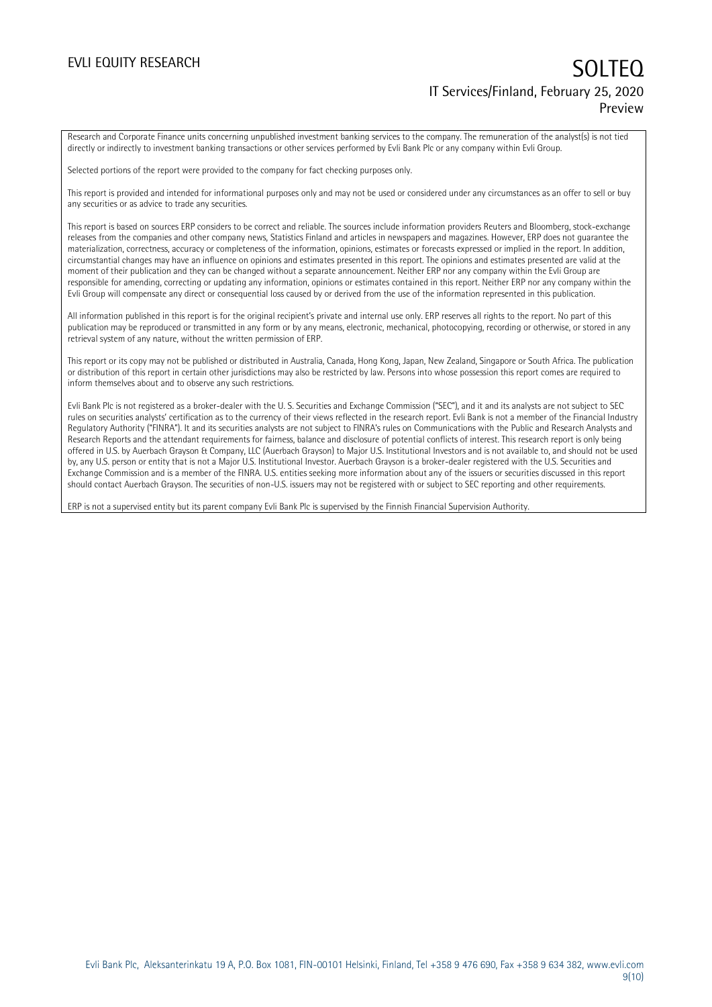Research and Corporate Finance units concerning unpublished investment banking services to the company. The remuneration of the analyst(s) is not tied directly or indirectly to investment banking transactions or other services performed by Evli Bank Plc or any company within Evli Group.

Selected portions of the report were provided to the company for fact checking purposes only.

This report is provided and intended for informational purposes only and may not be used or considered under any circumstances as an offer to sell or buy any securities or as advice to trade any securities.

This report is based on sources ERP considers to be correct and reliable. The sources include information providers Reuters and Bloomberg, stock-exchange releases from the companies and other company news, Statistics Finland and articles in newspapers and magazines. However, ERP does not guarantee the materialization, correctness, accuracy or completeness of the information, opinions, estimates or forecasts expressed or implied in the report. In addition, circumstantial changes may have an influence on opinions and estimates presented in this report. The opinions and estimates presented are valid at the moment of their publication and they can be changed without a separate announcement. Neither ERP nor any company within the Evli Group are responsible for amending, correcting or updating any information, opinions or estimates contained in this report. Neither ERP nor any company within the Evli Group will compensate any direct or consequential loss caused by or derived from the use of the information represented in this publication.

All information published in this report is for the original recipient's private and internal use only. ERP reserves all rights to the report. No part of this publication may be reproduced or transmitted in any form or by any means, electronic, mechanical, photocopying, recording or otherwise, or stored in any retrieval system of any nature, without the written permission of ERP.

This report or its copy may not be published or distributed in Australia, Canada, Hong Kong, Japan, New Zealand, Singapore or South Africa. The publication or distribution of this report in certain other jurisdictions may also be restricted by law. Persons into whose possession this report comes are required to inform themselves about and to observe any such restrictions.

Evli Bank Plc is not registered as a broker-dealer with the U. S. Securities and Exchange Commission ("SEC"), and it and its analysts are not subject to SEC rules on securities analysts' certification as to the currency of their views reflected in the research report. Evli Bank is not a member of the Financial Industry Regulatory Authority ("FINRA"). It and its securities analysts are not subject to FINRA's rules on Communications with the Public and Research Analysts and Research Reports and the attendant requirements for fairness, balance and disclosure of potential conflicts of interest. This research report is only being offered in U.S. by Auerbach Grayson & Company, LLC (Auerbach Grayson) to Major U.S. Institutional Investors and is not available to, and should not be used by, any U.S. person or entity that is not a Major U.S. Institutional Investor. Auerbach Grayson is a broker-dealer registered with the U.S. Securities and Exchange Commission and is a member of the FINRA. U.S. entities seeking more information about any of the issuers or securities discussed in this report should contact Auerbach Grayson. The securities of non-U.S. issuers may not be registered with or subject to SEC reporting and other requirements.

ERP is not a supervised entity but its parent company Evli Bank Plc is supervised by the Finnish Financial Supervision Authority.